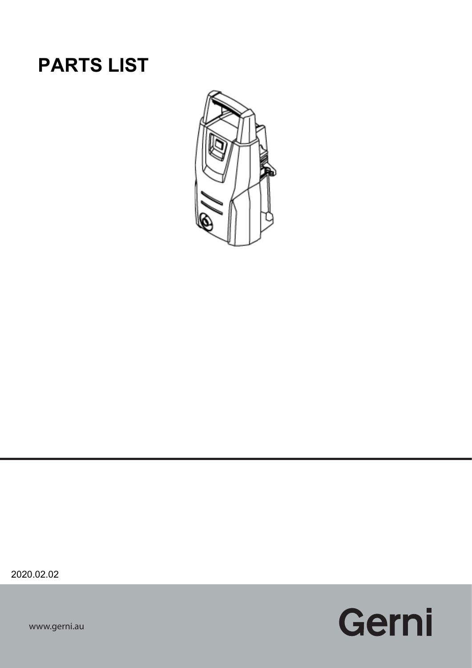## **PARTS LIST**



2020.02.02

Gerni

www.gerni.au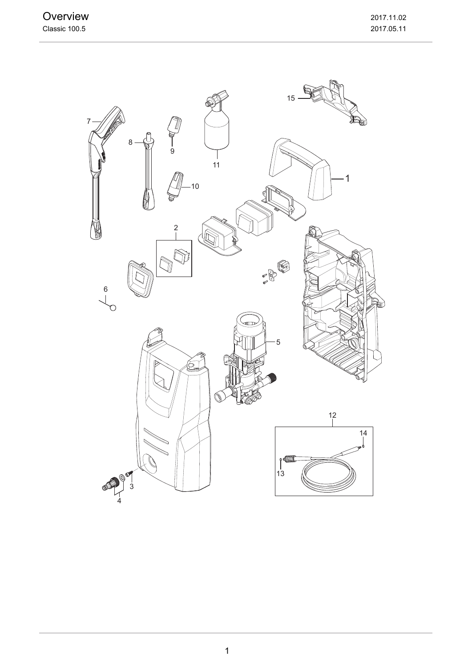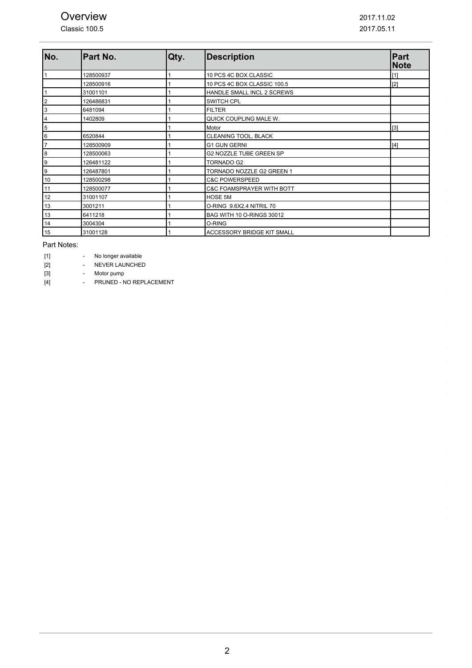Classic 100.5

| No.            | Part No.  | Qty. | <b>Description</b>          | Part<br><b>Note</b> |
|----------------|-----------|------|-----------------------------|---------------------|
| 1              | 128500937 |      | 10 PCS 4C BOX CLASSIC       | [1]                 |
|                | 128500916 |      | 10 PCS 4C BOX CLASSIC 100.5 | $[2]$               |
| 1              | 31001101  |      | HANDLE SMALL INCL 2 SCREWS  |                     |
| 2              | 126486831 |      | <b>SWITCH CPL</b>           |                     |
| 3              | 6481094   |      | <b>FILTER</b>               |                     |
| $\overline{4}$ | 1402809   |      | QUICK COUPLING MALE W.      |                     |
| $\,$ 5 $\,$    |           |      | Motor                       | [3]                 |
| $\,6$          | 6520844   |      | CLEANING TOOL, BLACK        |                     |
| 7              | 128500909 |      | <b>G1 GUN GERNI</b>         | [4]                 |
| 8              | 128500063 |      | G2 NOZZLE TUBE GREEN SP     |                     |
| 9              | 126481122 |      | TORNADO G2                  |                     |
| 9              | 126487801 |      | TORNADO NOZZLE G2 GREEN 1   |                     |
| 10             | 128500298 |      | <b>C&amp;C POWERSPEED</b>   |                     |
| 11             | 128500077 |      | C&C FOAMSPRAYER WITH BOTT   |                     |
| 12             | 31001107  |      | <b>HOSE 5M</b>              |                     |
| 13             | 3001211   |      | O-RING 9.6X2.4 NITRIL 70    |                     |
| 13             | 6411218   |      | BAG WITH 10 O-RINGS 30012   |                     |
| 14             | 3004304   |      | O-RING                      |                     |
| 15             | 31001128  |      | ACCESSORY BRIDGE KIT SMALL  |                     |

Part Notes:

| [1]<br>No longer available |  |
|----------------------------|--|
|----------------------------|--|

[2] - NEVER LAUNCHED

[3] - Motor pump

[4] **- PRUNED - NO REPLACEMENT**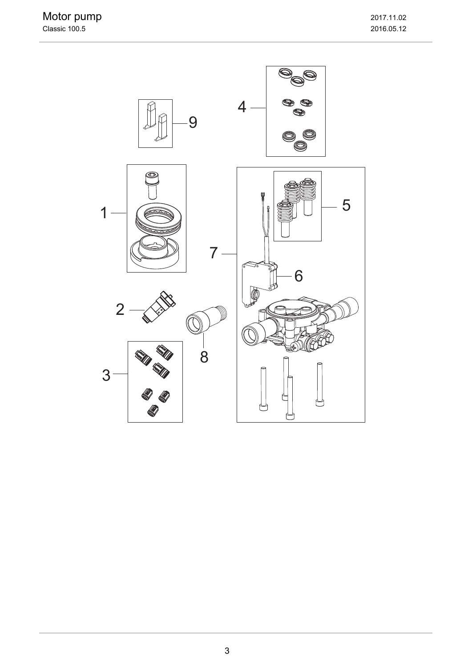